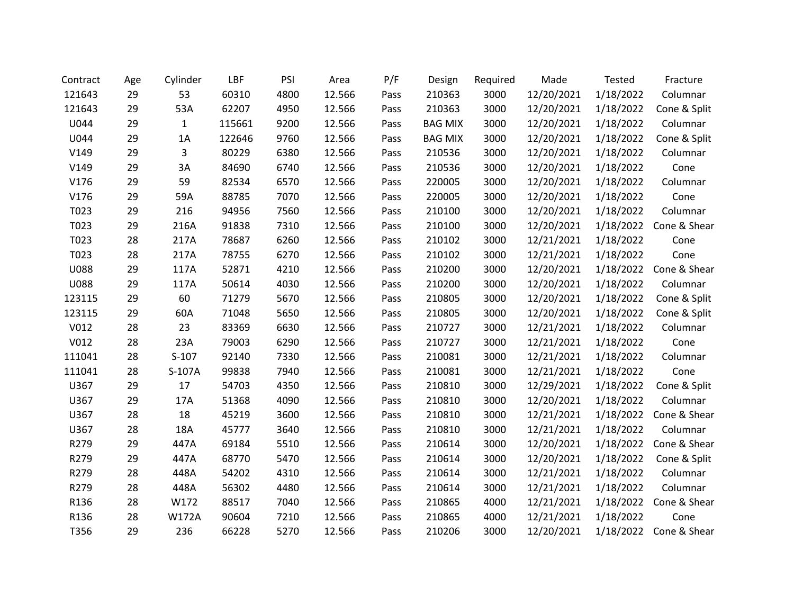| Contract    | Age | Cylinder     | LBF    | PSI  | Area   | P/F  | Design         | Required | Made       | Tested    | Fracture               |
|-------------|-----|--------------|--------|------|--------|------|----------------|----------|------------|-----------|------------------------|
| 121643      | 29  | 53           | 60310  | 4800 | 12.566 | Pass | 210363         | 3000     | 12/20/2021 | 1/18/2022 | Columnar               |
| 121643      | 29  | 53A          | 62207  | 4950 | 12.566 | Pass | 210363         | 3000     | 12/20/2021 | 1/18/2022 | Cone & Split           |
| U044        | 29  | $\mathbf{1}$ | 115661 | 9200 | 12.566 | Pass | <b>BAG MIX</b> | 3000     | 12/20/2021 | 1/18/2022 | Columnar               |
| U044        | 29  | 1A           | 122646 | 9760 | 12.566 | Pass | <b>BAG MIX</b> | 3000     | 12/20/2021 | 1/18/2022 | Cone & Split           |
| V149        | 29  | 3            | 80229  | 6380 | 12.566 | Pass | 210536         | 3000     | 12/20/2021 | 1/18/2022 | Columnar               |
| V149        | 29  | 3A           | 84690  | 6740 | 12.566 | Pass | 210536         | 3000     | 12/20/2021 | 1/18/2022 | Cone                   |
| V176        | 29  | 59           | 82534  | 6570 | 12.566 | Pass | 220005         | 3000     | 12/20/2021 | 1/18/2022 | Columnar               |
| V176        | 29  | 59A          | 88785  | 7070 | 12.566 | Pass | 220005         | 3000     | 12/20/2021 | 1/18/2022 | Cone                   |
| T023        | 29  | 216          | 94956  | 7560 | 12.566 | Pass | 210100         | 3000     | 12/20/2021 | 1/18/2022 | Columnar               |
| T023        | 29  | 216A         | 91838  | 7310 | 12.566 | Pass | 210100         | 3000     | 12/20/2021 | 1/18/2022 | Cone & Shear           |
| T023        | 28  | 217A         | 78687  | 6260 | 12.566 | Pass | 210102         | 3000     | 12/21/2021 | 1/18/2022 | Cone                   |
| T023        | 28  | 217A         | 78755  | 6270 | 12.566 | Pass | 210102         | 3000     | 12/21/2021 | 1/18/2022 | Cone                   |
| <b>U088</b> | 29  | 117A         | 52871  | 4210 | 12.566 | Pass | 210200         | 3000     | 12/20/2021 | 1/18/2022 | Cone & Shear           |
| <b>U088</b> | 29  | 117A         | 50614  | 4030 | 12.566 | Pass | 210200         | 3000     | 12/20/2021 | 1/18/2022 | Columnar               |
| 123115      | 29  | 60           | 71279  | 5670 | 12.566 | Pass | 210805         | 3000     | 12/20/2021 | 1/18/2022 | Cone & Split           |
| 123115      | 29  | 60A          | 71048  | 5650 | 12.566 | Pass | 210805         | 3000     | 12/20/2021 | 1/18/2022 | Cone & Split           |
| V012        | 28  | 23           | 83369  | 6630 | 12.566 | Pass | 210727         | 3000     | 12/21/2021 | 1/18/2022 | Columnar               |
| V012        | 28  | 23A          | 79003  | 6290 | 12.566 | Pass | 210727         | 3000     | 12/21/2021 | 1/18/2022 | Cone                   |
| 111041      | 28  | $S-107$      | 92140  | 7330 | 12.566 | Pass | 210081         | 3000     | 12/21/2021 | 1/18/2022 | Columnar               |
| 111041      | 28  | S-107A       | 99838  | 7940 | 12.566 | Pass | 210081         | 3000     | 12/21/2021 | 1/18/2022 | Cone                   |
| U367        | 29  | 17           | 54703  | 4350 | 12.566 | Pass | 210810         | 3000     | 12/29/2021 | 1/18/2022 | Cone & Split           |
| U367        | 29  | 17A          | 51368  | 4090 | 12.566 | Pass | 210810         | 3000     | 12/20/2021 | 1/18/2022 | Columnar               |
| U367        | 28  | 18           | 45219  | 3600 | 12.566 | Pass | 210810         | 3000     | 12/21/2021 | 1/18/2022 | Cone & Shear           |
| U367        | 28  | 18A          | 45777  | 3640 | 12.566 | Pass | 210810         | 3000     | 12/21/2021 | 1/18/2022 | Columnar               |
| R279        | 29  | 447A         | 69184  | 5510 | 12.566 | Pass | 210614         | 3000     | 12/20/2021 | 1/18/2022 | Cone & Shear           |
| R279        | 29  | 447A         | 68770  | 5470 | 12.566 | Pass | 210614         | 3000     | 12/20/2021 | 1/18/2022 | Cone & Split           |
| R279        | 28  | 448A         | 54202  | 4310 | 12.566 | Pass | 210614         | 3000     | 12/21/2021 | 1/18/2022 | Columnar               |
| R279        | 28  | 448A         | 56302  | 4480 | 12.566 | Pass | 210614         | 3000     | 12/21/2021 | 1/18/2022 | Columnar               |
| R136        | 28  | W172         | 88517  | 7040 | 12.566 | Pass | 210865         | 4000     | 12/21/2021 | 1/18/2022 | Cone & Shear           |
| R136        | 28  | <b>W172A</b> | 90604  | 7210 | 12.566 | Pass | 210865         | 4000     | 12/21/2021 | 1/18/2022 | Cone                   |
| T356        | 29  | 236          | 66228  | 5270 | 12.566 | Pass | 210206         | 3000     | 12/20/2021 |           | 1/18/2022 Cone & Shear |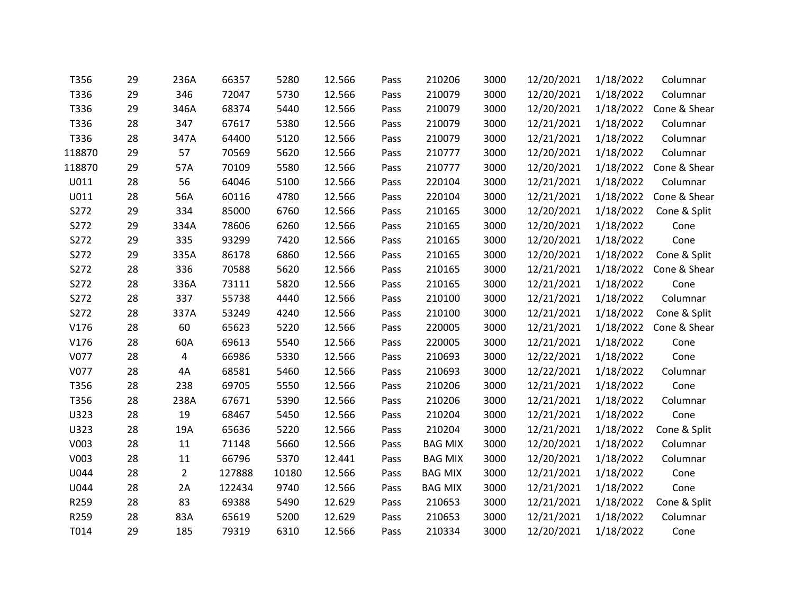| T356   | 29 | 236A           | 66357  | 5280  | 12.566 | Pass | 210206         | 3000 | 12/20/2021 | 1/18/2022 | Columnar     |
|--------|----|----------------|--------|-------|--------|------|----------------|------|------------|-----------|--------------|
| T336   | 29 | 346            | 72047  | 5730  | 12.566 | Pass | 210079         | 3000 | 12/20/2021 | 1/18/2022 | Columnar     |
| T336   | 29 | 346A           | 68374  | 5440  | 12.566 | Pass | 210079         | 3000 | 12/20/2021 | 1/18/2022 | Cone & Shear |
| T336   | 28 | 347            | 67617  | 5380  | 12.566 | Pass | 210079         | 3000 | 12/21/2021 | 1/18/2022 | Columnar     |
| T336   | 28 | 347A           | 64400  | 5120  | 12.566 | Pass | 210079         | 3000 | 12/21/2021 | 1/18/2022 | Columnar     |
| 118870 | 29 | 57             | 70569  | 5620  | 12.566 | Pass | 210777         | 3000 | 12/20/2021 | 1/18/2022 | Columnar     |
| 118870 | 29 | 57A            | 70109  | 5580  | 12.566 | Pass | 210777         | 3000 | 12/20/2021 | 1/18/2022 | Cone & Shear |
| U011   | 28 | 56             | 64046  | 5100  | 12.566 | Pass | 220104         | 3000 | 12/21/2021 | 1/18/2022 | Columnar     |
| U011   | 28 | 56A            | 60116  | 4780  | 12.566 | Pass | 220104         | 3000 | 12/21/2021 | 1/18/2022 | Cone & Shear |
| S272   | 29 | 334            | 85000  | 6760  | 12.566 | Pass | 210165         | 3000 | 12/20/2021 | 1/18/2022 | Cone & Split |
| S272   | 29 | 334A           | 78606  | 6260  | 12.566 | Pass | 210165         | 3000 | 12/20/2021 | 1/18/2022 | Cone         |
| S272   | 29 | 335            | 93299  | 7420  | 12.566 | Pass | 210165         | 3000 | 12/20/2021 | 1/18/2022 | Cone         |
| S272   | 29 | 335A           | 86178  | 6860  | 12.566 | Pass | 210165         | 3000 | 12/20/2021 | 1/18/2022 | Cone & Split |
| S272   | 28 | 336            | 70588  | 5620  | 12.566 | Pass | 210165         | 3000 | 12/21/2021 | 1/18/2022 | Cone & Shear |
| S272   | 28 | 336A           | 73111  | 5820  | 12.566 | Pass | 210165         | 3000 | 12/21/2021 | 1/18/2022 | Cone         |
| S272   | 28 | 337            | 55738  | 4440  | 12.566 | Pass | 210100         | 3000 | 12/21/2021 | 1/18/2022 | Columnar     |
| S272   | 28 | 337A           | 53249  | 4240  | 12.566 | Pass | 210100         | 3000 | 12/21/2021 | 1/18/2022 | Cone & Split |
| V176   | 28 | 60             | 65623  | 5220  | 12.566 | Pass | 220005         | 3000 | 12/21/2021 | 1/18/2022 | Cone & Shear |
| V176   | 28 | 60A            | 69613  | 5540  | 12.566 | Pass | 220005         | 3000 | 12/21/2021 | 1/18/2022 | Cone         |
| V077   | 28 | $\overline{a}$ | 66986  | 5330  | 12.566 | Pass | 210693         | 3000 | 12/22/2021 | 1/18/2022 | Cone         |
| V077   | 28 | 4A             | 68581  | 5460  | 12.566 | Pass | 210693         | 3000 | 12/22/2021 | 1/18/2022 | Columnar     |
| T356   | 28 | 238            | 69705  | 5550  | 12.566 | Pass | 210206         | 3000 | 12/21/2021 | 1/18/2022 | Cone         |
| T356   | 28 | 238A           | 67671  | 5390  | 12.566 | Pass | 210206         | 3000 | 12/21/2021 | 1/18/2022 | Columnar     |
| U323   | 28 | 19             | 68467  | 5450  | 12.566 | Pass | 210204         | 3000 | 12/21/2021 | 1/18/2022 | Cone         |
| U323   | 28 | 19A            | 65636  | 5220  | 12.566 | Pass | 210204         | 3000 | 12/21/2021 | 1/18/2022 | Cone & Split |
| V003   | 28 | 11             | 71148  | 5660  | 12.566 | Pass | <b>BAG MIX</b> | 3000 | 12/20/2021 | 1/18/2022 | Columnar     |
| V003   | 28 | 11             | 66796  | 5370  | 12.441 | Pass | <b>BAG MIX</b> | 3000 | 12/20/2021 | 1/18/2022 | Columnar     |
| U044   | 28 | $\overline{2}$ | 127888 | 10180 | 12.566 | Pass | <b>BAG MIX</b> | 3000 | 12/21/2021 | 1/18/2022 | Cone         |
| U044   | 28 | 2A             | 122434 | 9740  | 12.566 | Pass | <b>BAG MIX</b> | 3000 | 12/21/2021 | 1/18/2022 | Cone         |
| R259   | 28 | 83             | 69388  | 5490  | 12.629 | Pass | 210653         | 3000 | 12/21/2021 | 1/18/2022 | Cone & Split |
| R259   | 28 | 83A            | 65619  | 5200  | 12.629 | Pass | 210653         | 3000 | 12/21/2021 | 1/18/2022 | Columnar     |
| T014   | 29 | 185            | 79319  | 6310  | 12.566 | Pass | 210334         | 3000 | 12/20/2021 | 1/18/2022 | Cone         |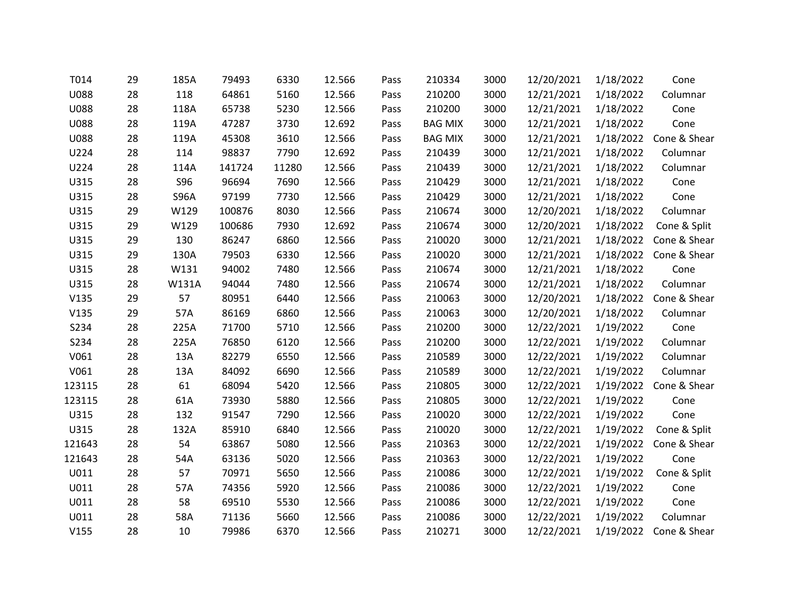| T014        | 29 | 185A        | 79493  | 6330  | 12.566 | Pass | 210334         | 3000 | 12/20/2021 | 1/18/2022 | Cone         |
|-------------|----|-------------|--------|-------|--------|------|----------------|------|------------|-----------|--------------|
| <b>U088</b> | 28 | 118         | 64861  | 5160  | 12.566 | Pass | 210200         | 3000 | 12/21/2021 | 1/18/2022 | Columnar     |
| <b>U088</b> | 28 | 118A        | 65738  | 5230  | 12.566 | Pass | 210200         | 3000 | 12/21/2021 | 1/18/2022 | Cone         |
| U088        | 28 | 119A        | 47287  | 3730  | 12.692 | Pass | <b>BAG MIX</b> | 3000 | 12/21/2021 | 1/18/2022 | Cone         |
| <b>U088</b> | 28 | 119A        | 45308  | 3610  | 12.566 | Pass | <b>BAG MIX</b> | 3000 | 12/21/2021 | 1/18/2022 | Cone & Shear |
| U224        | 28 | 114         | 98837  | 7790  | 12.692 | Pass | 210439         | 3000 | 12/21/2021 | 1/18/2022 | Columnar     |
| U224        | 28 | 114A        | 141724 | 11280 | 12.566 | Pass | 210439         | 3000 | 12/21/2021 | 1/18/2022 | Columnar     |
| U315        | 28 | <b>S96</b>  | 96694  | 7690  | 12.566 | Pass | 210429         | 3000 | 12/21/2021 | 1/18/2022 | Cone         |
| U315        | 28 | <b>S96A</b> | 97199  | 7730  | 12.566 | Pass | 210429         | 3000 | 12/21/2021 | 1/18/2022 | Cone         |
| U315        | 29 | W129        | 100876 | 8030  | 12.566 | Pass | 210674         | 3000 | 12/20/2021 | 1/18/2022 | Columnar     |
| U315        | 29 | W129        | 100686 | 7930  | 12.692 | Pass | 210674         | 3000 | 12/20/2021 | 1/18/2022 | Cone & Split |
| U315        | 29 | 130         | 86247  | 6860  | 12.566 | Pass | 210020         | 3000 | 12/21/2021 | 1/18/2022 | Cone & Shear |
| U315        | 29 | 130A        | 79503  | 6330  | 12.566 | Pass | 210020         | 3000 | 12/21/2021 | 1/18/2022 | Cone & Shear |
| U315        | 28 | W131        | 94002  | 7480  | 12.566 | Pass | 210674         | 3000 | 12/21/2021 | 1/18/2022 | Cone         |
| U315        | 28 | W131A       | 94044  | 7480  | 12.566 | Pass | 210674         | 3000 | 12/21/2021 | 1/18/2022 | Columnar     |
| V135        | 29 | 57          | 80951  | 6440  | 12.566 | Pass | 210063         | 3000 | 12/20/2021 | 1/18/2022 | Cone & Shear |
| V135        | 29 | 57A         | 86169  | 6860  | 12.566 | Pass | 210063         | 3000 | 12/20/2021 | 1/18/2022 | Columnar     |
| S234        | 28 | 225A        | 71700  | 5710  | 12.566 | Pass | 210200         | 3000 | 12/22/2021 | 1/19/2022 | Cone         |
| S234        | 28 | 225A        | 76850  | 6120  | 12.566 | Pass | 210200         | 3000 | 12/22/2021 | 1/19/2022 | Columnar     |
| V061        | 28 | 13A         | 82279  | 6550  | 12.566 | Pass | 210589         | 3000 | 12/22/2021 | 1/19/2022 | Columnar     |
| V061        | 28 | 13A         | 84092  | 6690  | 12.566 | Pass | 210589         | 3000 | 12/22/2021 | 1/19/2022 | Columnar     |
| 123115      | 28 | 61          | 68094  | 5420  | 12.566 | Pass | 210805         | 3000 | 12/22/2021 | 1/19/2022 | Cone & Shear |
| 123115      | 28 | 61A         | 73930  | 5880  | 12.566 | Pass | 210805         | 3000 | 12/22/2021 | 1/19/2022 | Cone         |
| U315        | 28 | 132         | 91547  | 7290  | 12.566 | Pass | 210020         | 3000 | 12/22/2021 | 1/19/2022 | Cone         |
| U315        | 28 | 132A        | 85910  | 6840  | 12.566 | Pass | 210020         | 3000 | 12/22/2021 | 1/19/2022 | Cone & Split |
| 121643      | 28 | 54          | 63867  | 5080  | 12.566 | Pass | 210363         | 3000 | 12/22/2021 | 1/19/2022 | Cone & Shear |
| 121643      | 28 | 54A         | 63136  | 5020  | 12.566 | Pass | 210363         | 3000 | 12/22/2021 | 1/19/2022 | Cone         |
| U011        | 28 | 57          | 70971  | 5650  | 12.566 | Pass | 210086         | 3000 | 12/22/2021 | 1/19/2022 | Cone & Split |
| U011        | 28 | 57A         | 74356  | 5920  | 12.566 | Pass | 210086         | 3000 | 12/22/2021 | 1/19/2022 | Cone         |
| U011        | 28 | 58          | 69510  | 5530  | 12.566 | Pass | 210086         | 3000 | 12/22/2021 | 1/19/2022 | Cone         |
| U011        | 28 | 58A         | 71136  | 5660  | 12.566 | Pass | 210086         | 3000 | 12/22/2021 | 1/19/2022 | Columnar     |
| V155        | 28 | 10          | 79986  | 6370  | 12.566 | Pass | 210271         | 3000 | 12/22/2021 | 1/19/2022 | Cone & Shear |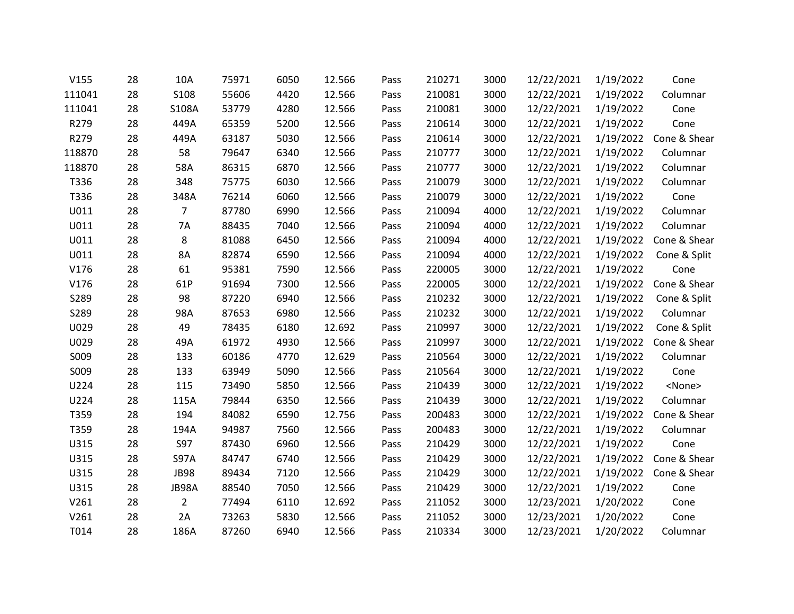| V155   | 28 | 10A         | 75971 | 6050 | 12.566 | Pass | 210271 | 3000 | 12/22/2021 | 1/19/2022 | Cone          |
|--------|----|-------------|-------|------|--------|------|--------|------|------------|-----------|---------------|
| 111041 | 28 | <b>S108</b> | 55606 | 4420 | 12.566 | Pass | 210081 | 3000 | 12/22/2021 | 1/19/2022 | Columnar      |
| 111041 | 28 | S108A       | 53779 | 4280 | 12.566 | Pass | 210081 | 3000 | 12/22/2021 | 1/19/2022 | Cone          |
| R279   | 28 | 449A        | 65359 | 5200 | 12.566 | Pass | 210614 | 3000 | 12/22/2021 | 1/19/2022 | Cone          |
| R279   | 28 | 449A        | 63187 | 5030 | 12.566 | Pass | 210614 | 3000 | 12/22/2021 | 1/19/2022 | Cone & Shear  |
| 118870 | 28 | 58          | 79647 | 6340 | 12.566 | Pass | 210777 | 3000 | 12/22/2021 | 1/19/2022 | Columnar      |
| 118870 | 28 | 58A         | 86315 | 6870 | 12.566 | Pass | 210777 | 3000 | 12/22/2021 | 1/19/2022 | Columnar      |
| T336   | 28 | 348         | 75775 | 6030 | 12.566 | Pass | 210079 | 3000 | 12/22/2021 | 1/19/2022 | Columnar      |
| T336   | 28 | 348A        | 76214 | 6060 | 12.566 | Pass | 210079 | 3000 | 12/22/2021 | 1/19/2022 | Cone          |
| U011   | 28 | 7           | 87780 | 6990 | 12.566 | Pass | 210094 | 4000 | 12/22/2021 | 1/19/2022 | Columnar      |
| U011   | 28 | 7A          | 88435 | 7040 | 12.566 | Pass | 210094 | 4000 | 12/22/2021 | 1/19/2022 | Columnar      |
| U011   | 28 | 8           | 81088 | 6450 | 12.566 | Pass | 210094 | 4000 | 12/22/2021 | 1/19/2022 | Cone & Shear  |
| U011   | 28 | 8A          | 82874 | 6590 | 12.566 | Pass | 210094 | 4000 | 12/22/2021 | 1/19/2022 | Cone & Split  |
| V176   | 28 | 61          | 95381 | 7590 | 12.566 | Pass | 220005 | 3000 | 12/22/2021 | 1/19/2022 | Cone          |
| V176   | 28 | 61P         | 91694 | 7300 | 12.566 | Pass | 220005 | 3000 | 12/22/2021 | 1/19/2022 | Cone & Shear  |
| S289   | 28 | 98          | 87220 | 6940 | 12.566 | Pass | 210232 | 3000 | 12/22/2021 | 1/19/2022 | Cone & Split  |
| S289   | 28 | 98A         | 87653 | 6980 | 12.566 | Pass | 210232 | 3000 | 12/22/2021 | 1/19/2022 | Columnar      |
| U029   | 28 | 49          | 78435 | 6180 | 12.692 | Pass | 210997 | 3000 | 12/22/2021 | 1/19/2022 | Cone & Split  |
| U029   | 28 | 49A         | 61972 | 4930 | 12.566 | Pass | 210997 | 3000 | 12/22/2021 | 1/19/2022 | Cone & Shear  |
| S009   | 28 | 133         | 60186 | 4770 | 12.629 | Pass | 210564 | 3000 | 12/22/2021 | 1/19/2022 | Columnar      |
| S009   | 28 | 133         | 63949 | 5090 | 12.566 | Pass | 210564 | 3000 | 12/22/2021 | 1/19/2022 | Cone          |
| U224   | 28 | 115         | 73490 | 5850 | 12.566 | Pass | 210439 | 3000 | 12/22/2021 | 1/19/2022 | <none></none> |
| U224   | 28 | 115A        | 79844 | 6350 | 12.566 | Pass | 210439 | 3000 | 12/22/2021 | 1/19/2022 | Columnar      |
| T359   | 28 | 194         | 84082 | 6590 | 12.756 | Pass | 200483 | 3000 | 12/22/2021 | 1/19/2022 | Cone & Shear  |
| T359   | 28 | 194A        | 94987 | 7560 | 12.566 | Pass | 200483 | 3000 | 12/22/2021 | 1/19/2022 | Columnar      |
| U315   | 28 | <b>S97</b>  | 87430 | 6960 | 12.566 | Pass | 210429 | 3000 | 12/22/2021 | 1/19/2022 | Cone          |
| U315   | 28 | <b>S97A</b> | 84747 | 6740 | 12.566 | Pass | 210429 | 3000 | 12/22/2021 | 1/19/2022 | Cone & Shear  |
| U315   | 28 | <b>JB98</b> | 89434 | 7120 | 12.566 | Pass | 210429 | 3000 | 12/22/2021 | 1/19/2022 | Cone & Shear  |
| U315   | 28 | JB98A       | 88540 | 7050 | 12.566 | Pass | 210429 | 3000 | 12/22/2021 | 1/19/2022 | Cone          |
| V261   | 28 | 2           | 77494 | 6110 | 12.692 | Pass | 211052 | 3000 | 12/23/2021 | 1/20/2022 | Cone          |
| V261   | 28 | 2A          | 73263 | 5830 | 12.566 | Pass | 211052 | 3000 | 12/23/2021 | 1/20/2022 | Cone          |
| T014   | 28 | 186A        | 87260 | 6940 | 12.566 | Pass | 210334 | 3000 | 12/23/2021 | 1/20/2022 | Columnar      |